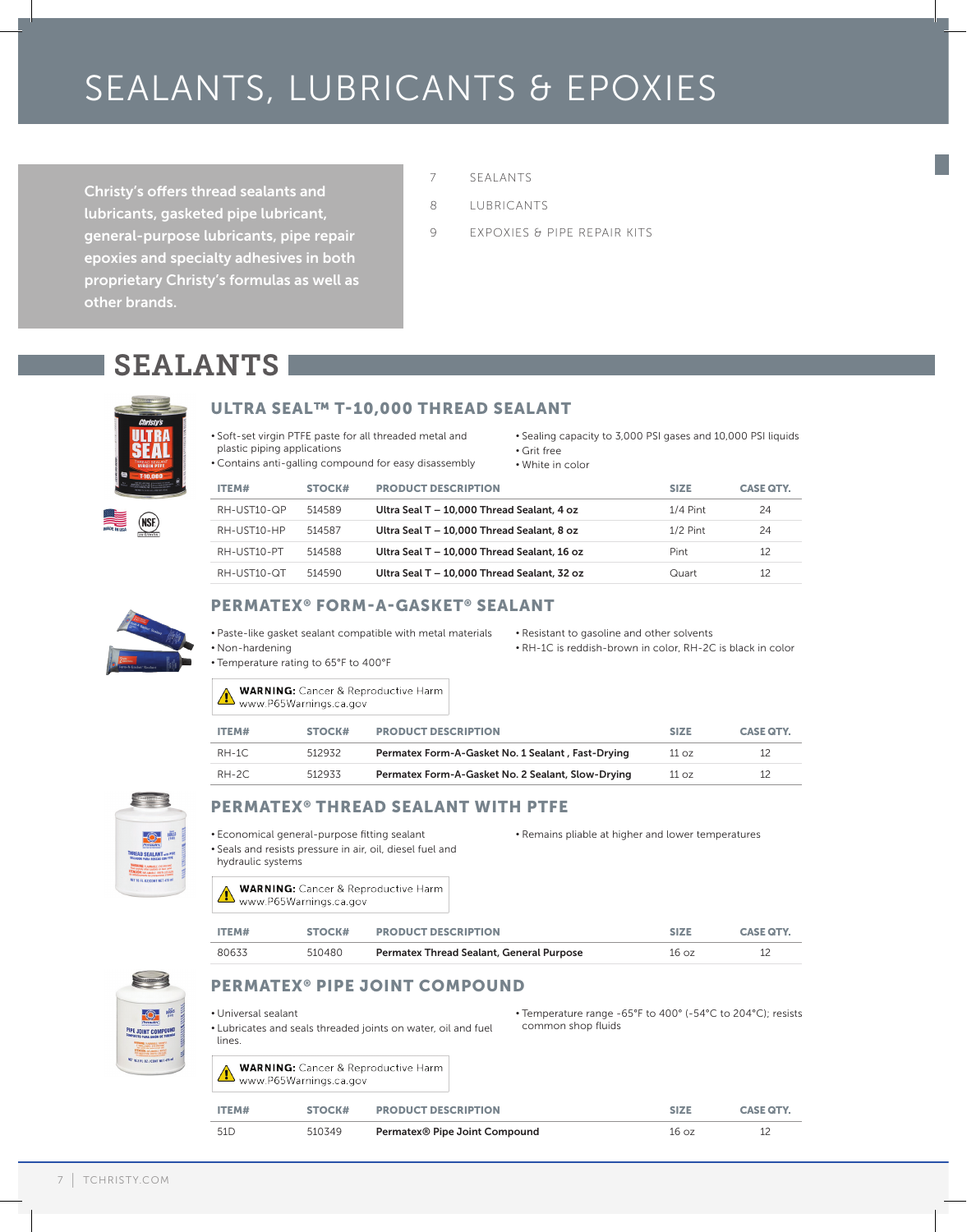# SEALANTS, LUBRICANTS & EPOXIES

Christy's offers thread sealants and lubricants, gasketed pipe lubricant, general-purpose lubricants, pipe repair epoxies and specialty adhesives in both proprietary Christy's formulas as well as other brands.

- 7 SEALANTS
- 8 LUBRICANTS
- 9 EXPOXIES & PIPE REPAIR KITS

# SEALANTS



## ULTRA SEAL™ T-10,000 THREAD SEALANT

- Soft-set virgin PTFE paste for all threaded metal and plastic piping applications
- Contains anti-galling compound for easy disassembly
- Sealing capacity to 3,000 PSI gases and 10,000 PSI liquids
- Grit free
- White in color

| ITEM#       | STOCK# | <b>PRODUCT DESCRIPTION</b>                  | <b>SIZE</b> | <b>CASE QTY.</b> |
|-------------|--------|---------------------------------------------|-------------|------------------|
| RH-UST10-QP | 514589 | Ultra Seal T - 10.000 Thread Sealant, 4 oz  | $1/4$ Pint  | 24               |
| RH-UST10-HP | 514587 | Ultra Seal T - 10.000 Thread Sealant, 8 oz  | $1/2$ Pint  | 24               |
| RH-UST10-PT | 514588 | Ultra Seal T - 10.000 Thread Sealant, 16 oz | Pint        | 12               |
| RH-UST10-OT | 514590 | Ultra Seal T - 10,000 Thread Sealant, 32 oz | Quart       | 12               |
|             |        |                                             |             |                  |



# PERMATEX® FORM-A-GASKET® SEALANT

- Paste-like gasket sealant compatible with metal materials • Non-hardening
	-
- Resistant to gasoline and other solvents • RH-1C is reddish-brown in color, RH-2C is black in color

• Remains pliable at higher and lower temperatures

• Temperature rating to 65°F to 400°F

| <b>WARNING:</b> Cancer & Reproductive Harm<br>www.P65Warnings.ca.gov |
|----------------------------------------------------------------------|
|                                                                      |

| ITEM#   | STOCK# | <b>PRODUCT DESCRIPTION</b>                        | <b>SIZE</b> | <b>CASE QTY.</b> |
|---------|--------|---------------------------------------------------|-------------|------------------|
| RH-1C   | 512932 | Permatex Form-A-Gasket No. 1 Sealant, Fast-Drying | 11 oz       |                  |
| $RH-2C$ | 512933 | Permatex Form-A-Gasket No. 2 Sealant, Slow-Drying | 11 oz       |                  |



### PERMATEX® THREAD SEALANT WITH PTFE

- Economical general-purpose fitting sealant
- Seals and resists pressure in air, oil, diesel fuel and
- hydraulic systems

**WARNING:** Cancer & Reproductive Harm WARNING: Cancer & Repr<br>www.P65Warnings.ca.gov

| ITEM# | STOCK# | <b>PRODUCT DESCRIPTION</b>               | <b>SIZE</b>     | <b>CASE QTY.</b> |
|-------|--------|------------------------------------------|-----------------|------------------|
| 80633 | 510480 | Permatex Thread Sealant, General Purpose | $16 \text{ oz}$ |                  |



# PERMATEX® PIPE JOINT COMPOUND

- Universal sealant • Lubricates and seals threaded joints on water, oil and fuel lines.
- Temperature range -65°F to 400° (-54°C to 204°C); resists common shop fluids
- **WARNING:** Cancer & Reproductive Harm WARNING: Cancer & Reproduction Cancer & Reproduction Cancer & Reproduction Cancer & Reproduction Cancer & Repr

| ITEM#           | STOCK# | <b>PRODUCT DESCRIPTION</b>                | <b>SIZE</b>     | <b>CASE QTY.</b> |
|-----------------|--------|-------------------------------------------|-----------------|------------------|
| 51 <sub>D</sub> | 510349 | Permatex <sup>®</sup> Pipe Joint Compound | $16 \text{ oz}$ |                  |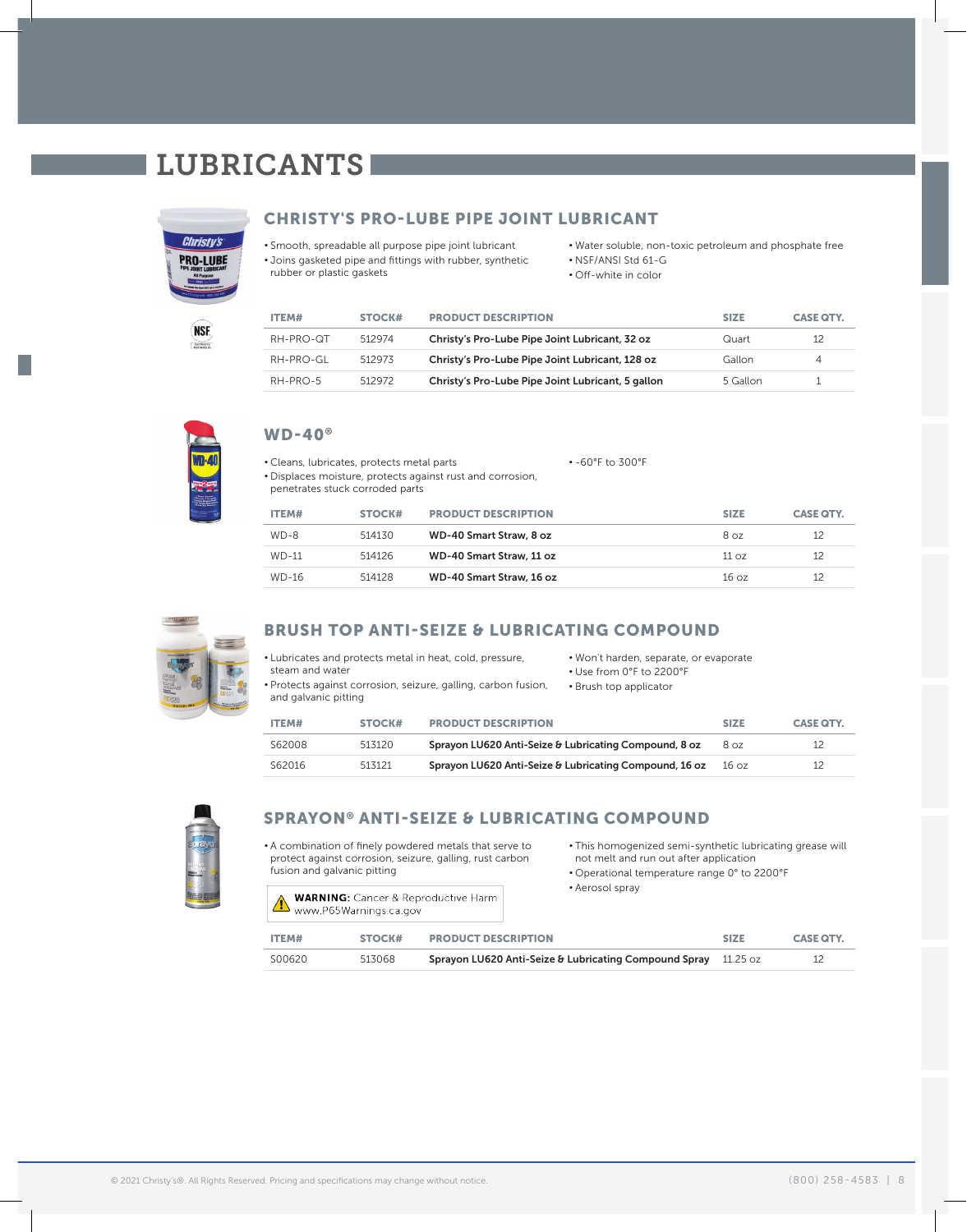# LUBRICANTS



(NSE) Certified to

## CHRISTY'S PRO-LUBE PIPE JOINT LUBRICANT

• Smooth, spreadable all purpose pipe joint lubricant • Joins gasketed pipe and fittings with rubber, synthetic rubber or plastic gaskets

#### • Water soluble, non-toxic petroleum and phosphate free

- NSF/ANSI Std 61-G
- Off-white in color

| ITEM#     | STOCK# | <b>PRODUCT DESCRIPTION</b>                        | <b>SIZE</b> | <b>CASE QTY.</b> |
|-----------|--------|---------------------------------------------------|-------------|------------------|
| RH-PRO-QT | 512974 | Christy's Pro-Lube Pipe Joint Lubricant, 32 oz    | Quart       | 12               |
| RH-PRO-GL | 512973 | Christy's Pro-Lube Pipe Joint Lubricant, 128 oz   | Gallon      | 4                |
| RH-PRO-5  | 512972 | Christy's Pro-Lube Pipe Joint Lubricant, 5 gallon | 5 Gallon    |                  |



## WD-40®

• Cleans, lubricates, protects metal parts • Displaces moisture, protects against rust and corrosion, • -60°F to 300°F

penetrates stuck corroded parts

| ITEM#        | STOCK# | <b>PRODUCT DESCRIPTION</b> | <b>SIZE</b> | <b>CASE QTY.</b> |
|--------------|--------|----------------------------|-------------|------------------|
| $WD-8$       | 514130 | WD-40 Smart Straw, 8 oz    | 8 oz        | 12               |
| <b>WD-11</b> | 514126 | WD-40 Smart Straw, 11 oz   | 11 oz       | 12               |
| WD-16        | 514128 | WD-40 Smart Straw, 16 oz   | 16 oz       | 12               |



# BRUSH TOP ANTI-SEIZE & LUBRICATING COMPOUND

• Lubricates and protects metal in heat, cold, pressure, steam and water

• Use from 0°F to 2200°F • Brush top applicator

• Won't harden, separate, or evaporate

• Protects against corrosion, seizure, galling, carbon fusion, and galvanic pitting

| ITEM#  | STOCK# | <b>PRODUCT DESCRIPTION</b>                             | <b>SIZE</b> | <b>CASE QTY.</b> |
|--------|--------|--------------------------------------------------------|-------------|------------------|
| S62008 | 513120 | Sprayon LU620 Anti-Seize & Lubricating Compound, 8 oz  | 8 oz        | 12               |
| S62016 | 513121 | Sprayon LU620 Anti-Seize & Lubricating Compound, 16 oz | 16 oz       | 12               |



## SPRAYON® ANTI-SEIZE & LUBRICATING COMPOUND

• A combination of finely powdered metals that serve to protect against corrosion, seizure, galling, rust carbon fusion and galvanic pitting

**WARNING:** Cancer & Reproductive Harm WARNING: Cancer & Reproduction Cancer & Reproduction Cancer & Reproduction Cancer Cancer Cancer Cancer Cancer Cancer Cancer Cancer Cancer Cancer Cancer Cancer Cancer Cancer Cancer Cancer Cancer Cancer Cancer Cancer Cancer

• This homogenized semi-synthetic lubricating grease will not melt and run out after application

• Operational temperature range 0° to 2200°F

• Aerosol spray

| ITEM#  | STOCK# | <b>PRODUCT DESCRIPTION</b>                                     | <b>SIZE</b> | <b>CASE QTY.</b> |
|--------|--------|----------------------------------------------------------------|-------------|------------------|
| S00620 | 513068 | Sprayon LU620 Anti-Seize & Lubricating Compound Spray 11.25 oz |             |                  |

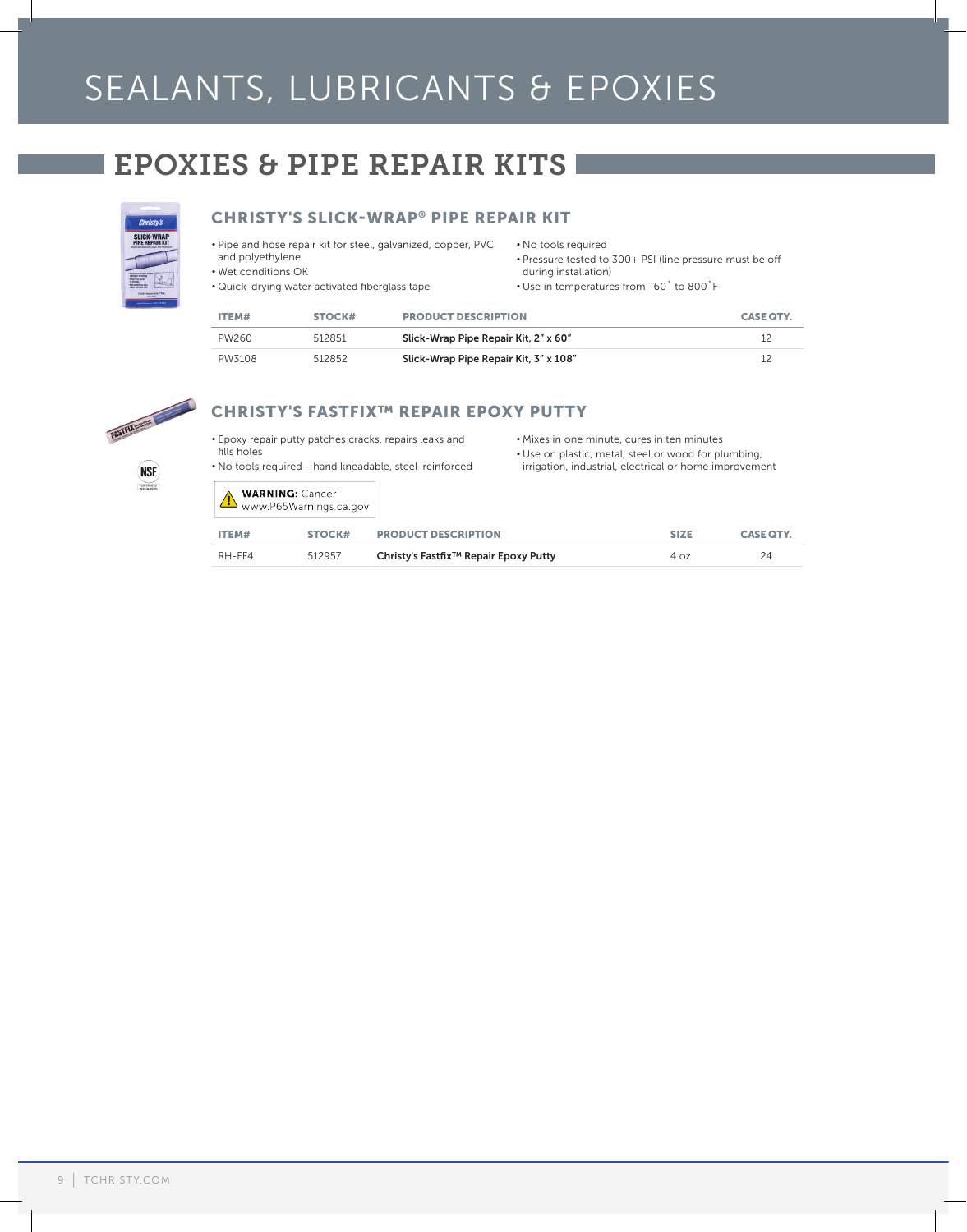# SEALANTS, LUBRICANTS & EPOXIES

# EPOXIES & PIPE REPAIR KITS



# CHRISTY'S SLICK-WRAP® PIPE REPAIR KIT

- Pipe and hose repair kit for steel, galvanized, copper, PVC and polyethylene
- Wet conditions OK
- No tools required
- Pressure tested to 300+ PSI (line pressure must be off during installation)
- Quick-drying water activated fiberglass tape
- Use in temperatures from -60˚ to 800˚F

| PW <sub>260</sub> | 512851 | Slick-Wran Pine Renair Kit 2" x 60" |                  |
|-------------------|--------|-------------------------------------|------------------|
| ITEM#             | STOCK# | <b>PRODUCT DESCRIPTION</b>          | <b>CASE QTY.</b> |
|                   |        |                                     |                  |

| PW260  | 512851 | Slick-Wrap Pipe Repair Kit, 2" x 60"  |  |
|--------|--------|---------------------------------------|--|
| PW3108 | 512852 | Slick-Wrap Pipe Repair Kit, 3" x 108" |  |



(NSE) Certified to

# CHRISTY'S FASTFIX™ REPAIR EPOXY PUTTY

- Epoxy repair putty patches cracks, repairs leaks and fills holes
- No tools required hand kneadable, steel-reinforced
- Mixes in one minute, cures in ten minutes
- Use on plastic, metal, steel or wood for plumbing,
- irrigation, industrial, electrical or home improvement

|  | <b>WARNING: Cancer</b>                   |
|--|------------------------------------------|
|  | WARNING S.L. Company Market Lines.ca.gov |

| ITEM#  | STOCK# | <b>PRODUCT DESCRIPTION</b>                        | <b>SIZE</b> | <b>CASE QTY.</b> |
|--------|--------|---------------------------------------------------|-------------|------------------|
| RH-FF4 | 512957 | Christy's Fastfix <sup>™</sup> Repair Epoxy Putty | 40z         | 24               |